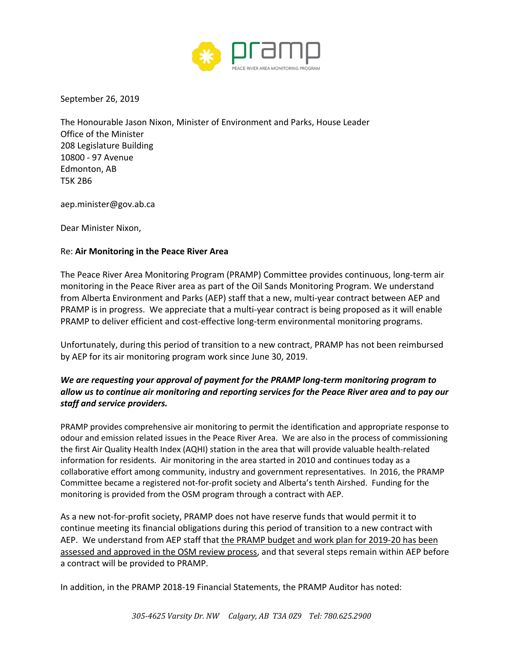

September 26, 2019

The Honourable Jason Nixon, Minister of Environment and Parks, House Leader Office of the Minister 208 Legislature Building 10800 - 97 Avenue Edmonton, AB T5K 2B6

aep.minister@gov.ab.ca

Dear Minister Nixon,

## Re: **Air Monitoring in the Peace River Area**

The Peace River Area Monitoring Program (PRAMP) Committee provides continuous, long-term air monitoring in the Peace River area as part of the Oil Sands Monitoring Program. We understand from Alberta Environment and Parks (AEP) staff that a new, multi-year contract between AEP and PRAMP is in progress. We appreciate that a multi-year contract is being proposed as it will enable PRAMP to deliver efficient and cost-effective long-term environmental monitoring programs.

Unfortunately, during this period of transition to a new contract, PRAMP has not been reimbursed by AEP for its air monitoring program work since June 30, 2019.

## *We are requesting your approval of payment for the PRAMP long-term monitoring program to allow us to continue air monitoring and reporting services for the Peace River area and to pay our staff and service providers.*

PRAMP provides comprehensive air monitoring to permit the identification and appropriate response to odour and emission related issues in the Peace River Area. We are also in the process of commissioning the first Air Quality Health Index (AQHI) station in the area that will provide valuable health-related information for residents. Air monitoring in the area started in 2010 and continues today as a collaborative effort among community, industry and government representatives. In 2016, the PRAMP Committee became a registered not-for-profit society and Alberta's tenth Airshed. Funding for the monitoring is provided from the OSM program through a contract with AEP.

As a new not-for-profit society, PRAMP does not have reserve funds that would permit it to continue meeting its financial obligations during this period of transition to a new contract with AEP. We understand from AEP staff that the PRAMP budget and work plan for 2019-20 has been assessed and approved in the OSM review process, and that several steps remain within AEP before a contract will be provided to PRAMP.

In addition, in the PRAMP 2018-19 Financial Statements, the PRAMP Auditor has noted: